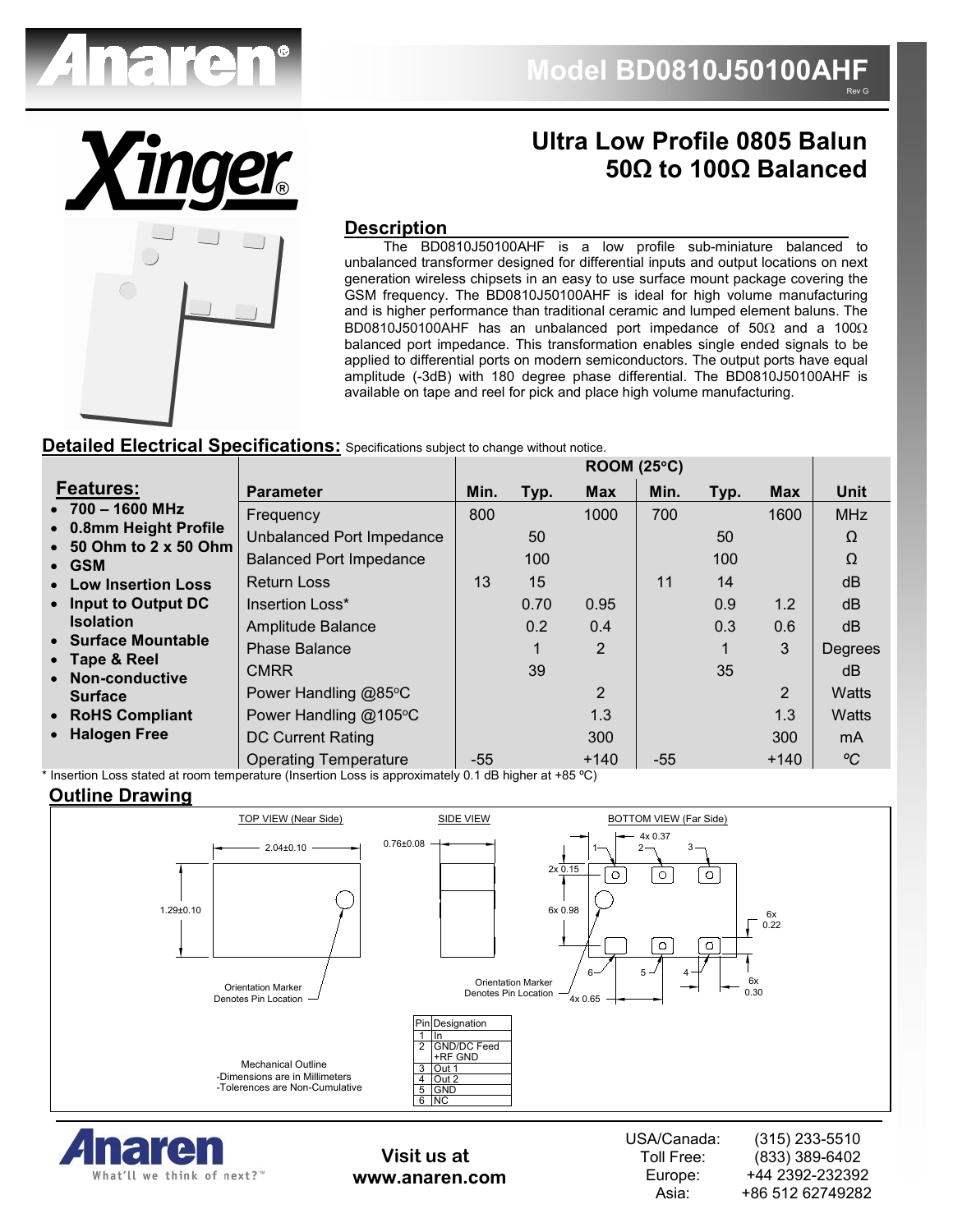



# **Ultra Low Profile 0805 Balun 50Ω to 100Ω Balanced**

#### **Description**

 The BD0810J50100AHF is a low profile sub-miniature balanced to unbalanced transformer designed for differential inputs and output locations on next generation wireless chipsets in an easy to use surface mount package covering the GSM frequency. The BD0810J50100AHF is ideal for high volume manufacturing and is higher performance than traditional ceramic and lumped element baluns. The BD0810J50100AHF has an unbalanced port impedance of 50Ω and a 100Ω balanced port impedance. This transformation enables single ended signals to be applied to differential ports on modern semiconductors. The output ports have equal amplitude (-3dB) with 180 degree phase differential. The BD0810J50100AHF is available on tape and reel for pick and place high volume manufacturing.

#### **Detailed Electrical Specifications:** Specifications subject to change without notice.

|                                                          |                                | ROOM (25°C) |      |                |       |      |                |              |
|----------------------------------------------------------|--------------------------------|-------------|------|----------------|-------|------|----------------|--------------|
| <b>Features:</b>                                         | <b>Parameter</b>               | Min.        | Typ. | <b>Max</b>     | Min.  | Typ. | <b>Max</b>     | Unit         |
| $\bullet$ 700 - 1600 MHz                                 | Frequency                      | 800         |      | 1000           | 700   |      | 1600           | <b>MHz</b>   |
| • 0.8mm Height Profile<br>$\bullet$ 50 Ohm to 2 x 50 Ohm | Unbalanced Port Impedance      |             | 50   |                |       | 50   |                | Ω            |
| $\bullet$ GSM                                            | <b>Balanced Port Impedance</b> |             | 100  |                |       | 100  |                | Ω            |
| • Low Insertion Loss                                     | <b>Return Loss</b>             | 13          | 15   |                | 11    | 14   |                | dB           |
| • Input to Output DC                                     | Insertion Loss*                |             | 0.70 | 0.95           |       | 0.9  | 1.2            | dB           |
| <b>Isolation</b>                                         | Amplitude Balance              |             | 0.2  | 0.4            |       | 0.3  | 0.6            | dB           |
| • Surface Mountable                                      | <b>Phase Balance</b>           |             |      | $\overline{2}$ |       | 1    | 3              | Degrees      |
| • Tape & Reel<br>• Non-conductive                        | <b>CMRR</b>                    |             | 39   |                |       | 35   |                | dB           |
| <b>Surface</b>                                           | Power Handling @85°C           |             |      | $\overline{2}$ |       |      | $\overline{2}$ | <b>Watts</b> |
| • RoHS Compliant                                         | Power Handling @105°C          |             |      | 1.3            |       |      | 1.3            | <b>Watts</b> |
| • Halogen Free                                           | <b>DC Current Rating</b>       |             |      | 300            |       |      | 300            | mA           |
|                                                          | <b>Operating Temperature</b>   | $-55$       |      | $+140$         | $-55$ |      | $+140$         | $\rm ^oC$    |

\* Insertion Loss stated at room temperature (Insertion Loss is approximately 0.1 dB higher at +85 ºC)

#### **Outline Drawing**





**Visit us at www.anaren.com** USA/Canada: Toll Free: Europe: Asia: (315) 233-5510 (833) 389-6402 +44 2392-232392 +86 512 62749282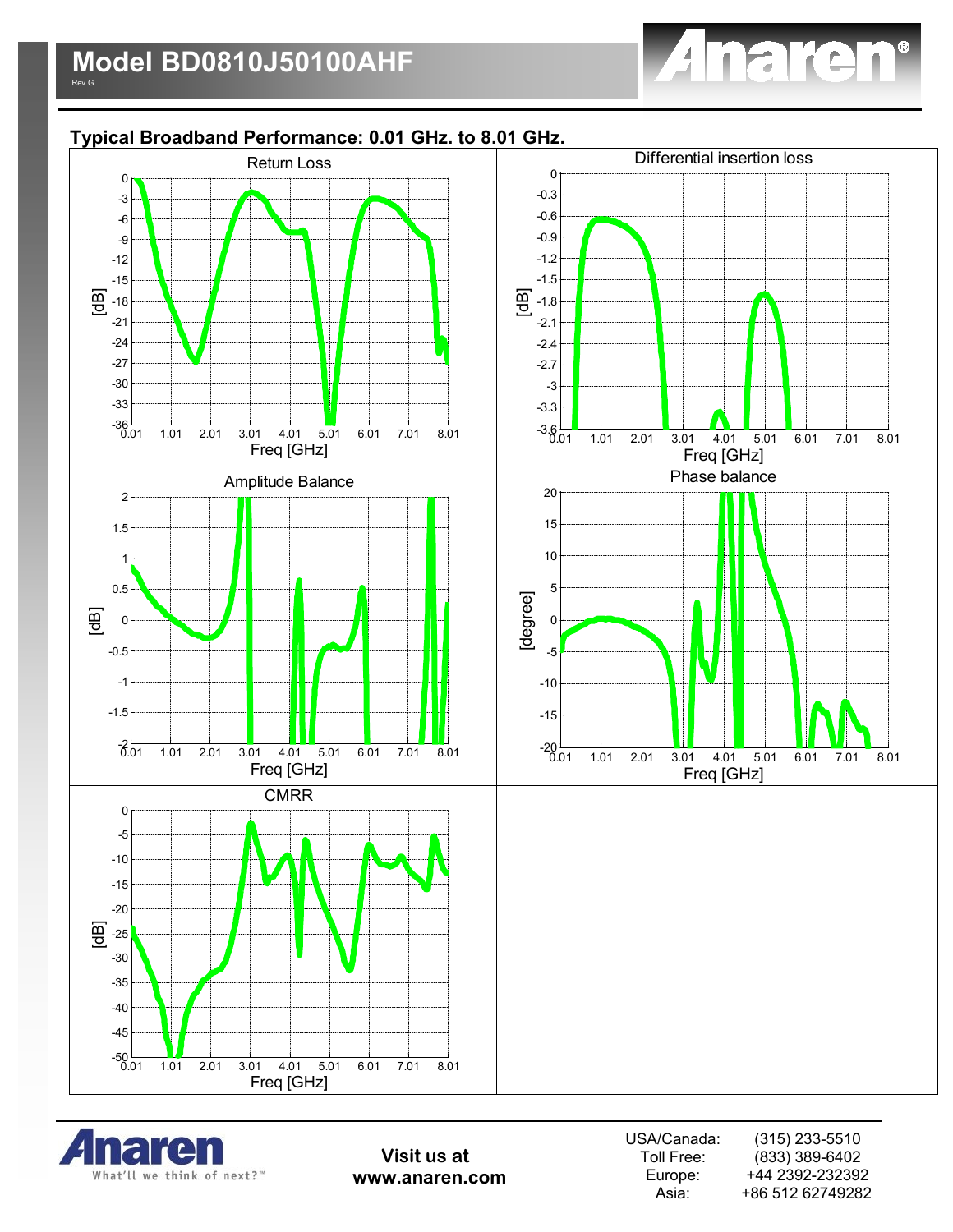

# **Typical Broadband Performance: 0.01 GHz. to 8.01 GHz.**





**Visit us at www.anaren.com** USA/Canada: Toll Free: Europe: Asia: (315) 233-5510 (833) 389-6402 +44 2392-232392 +86 512 62749282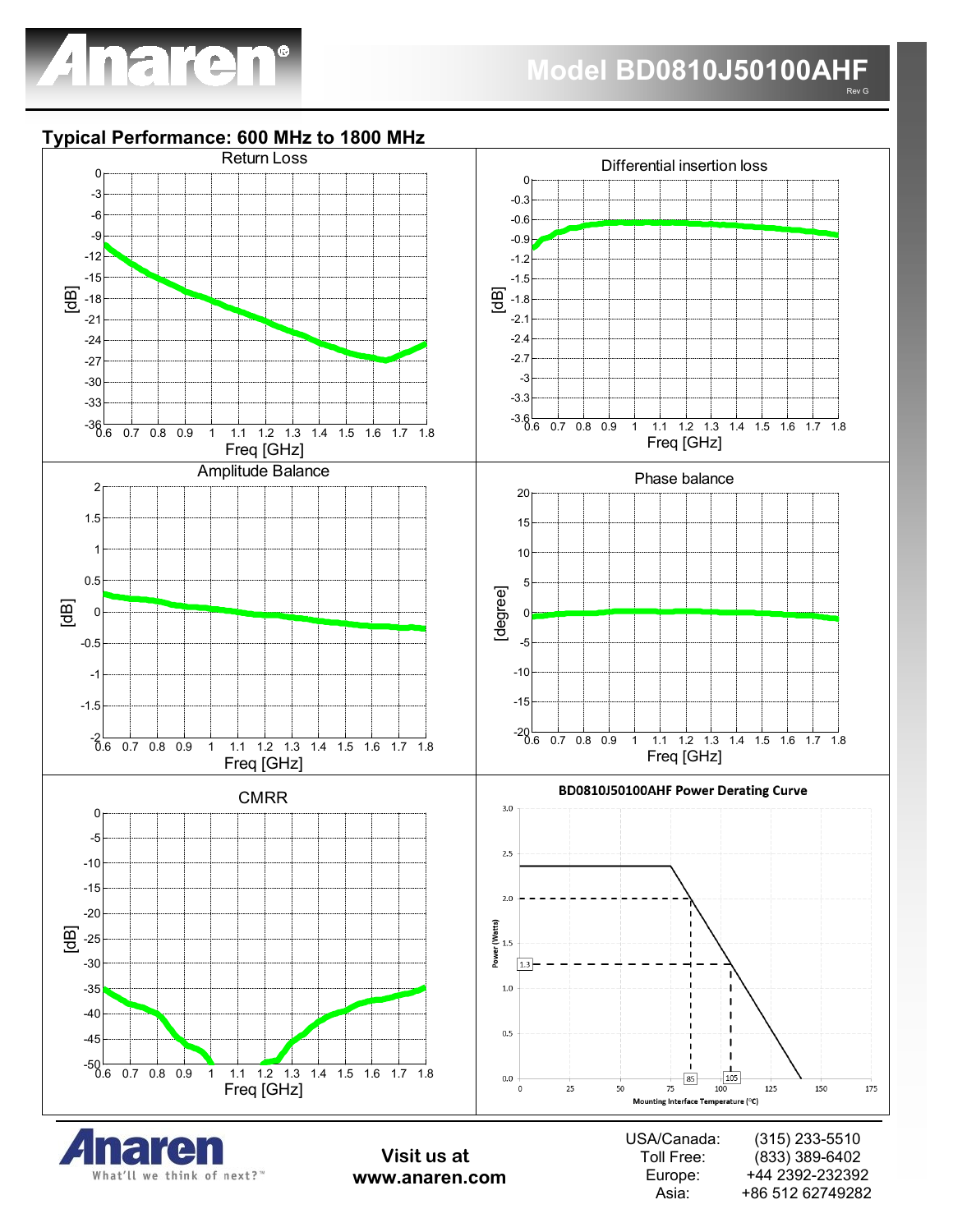

### **Typical Performance: 600 MHz to 1800 MHz**

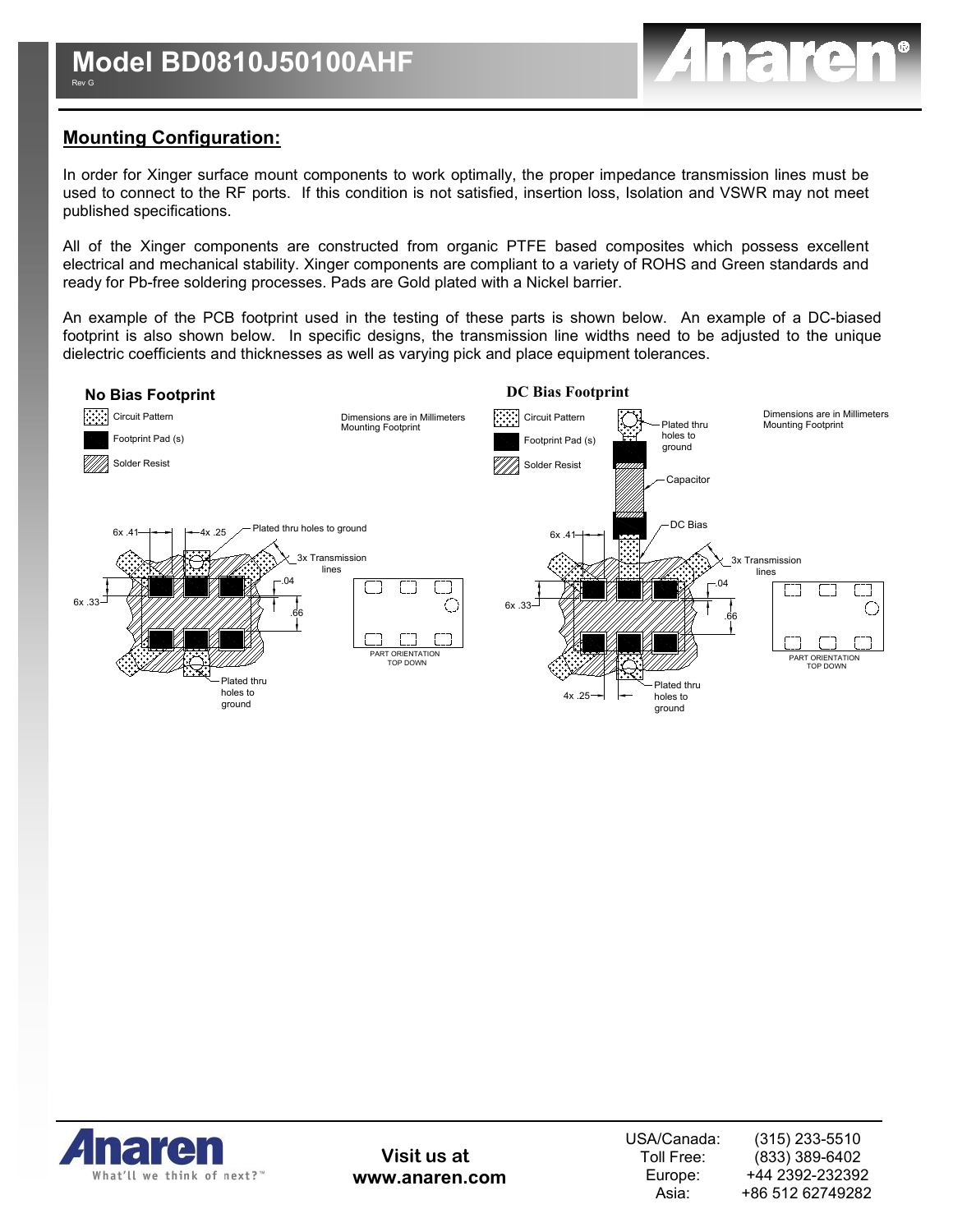

# **Mounting Configuration:**

In order for Xinger surface mount components to work optimally, the proper impedance transmission lines must be used to connect to the RF ports. If this condition is not satisfied, insertion loss, Isolation and VSWR may not meet published specifications.

All of the Xinger components are constructed from organic PTFE based composites which possess excellent electrical and mechanical stability. Xinger components are compliant to a variety of ROHS and Green standards and ready for Pb-free soldering processes. Pads are Gold plated with a Nickel barrier.

An example of the PCB footprint used in the testing of these parts is shown below. An example of a DC-biased footprint is also shown below. In specific designs, the transmission line widths need to be adjusted to the unique dielectric coefficients and thicknesses as well as varying pick and place equipment tolerances.